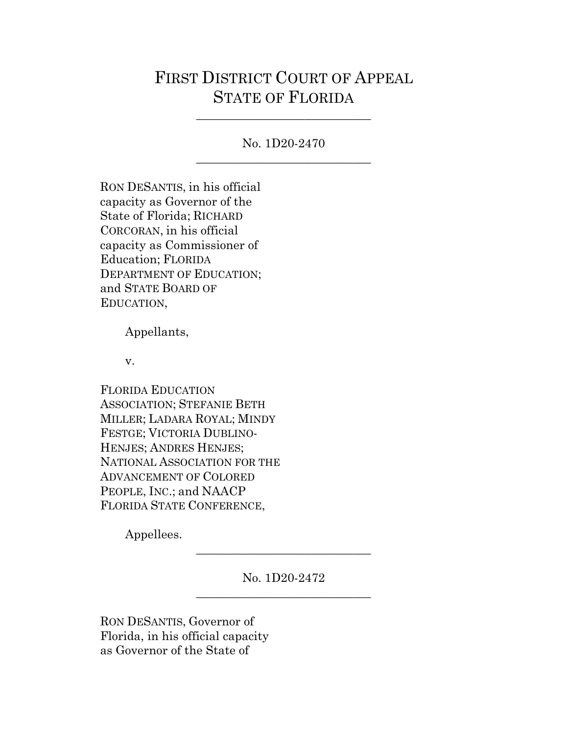# FIRST DISTRICT COURT OF APPEAL STATE OF FLORIDA

No. 1D20-2470 \_\_\_\_\_\_\_\_\_\_\_\_\_\_\_\_\_\_\_\_\_\_\_\_\_\_\_\_\_

\_\_\_\_\_\_\_\_\_\_\_\_\_\_\_\_\_\_\_\_\_\_\_\_\_\_\_\_\_

RON DESANTIS, in his official capacity as Governor of the State of Florida; RICHARD CORCORAN, in his official capacity as Commissioner of Education; FLORIDA DEPARTMENT OF EDUCATION; and STATE BOARD OF EDUCATION,

Appellants,

v.

FLORIDA EDUCATION ASSOCIATION; STEFANIE BETH MILLER; LADARA ROYAL; MINDY FESTGE; VICTORIA DUBLINO-HENJES; ANDRES HENJES; NATIONAL ASSOCIATION FOR THE ADVANCEMENT OF COLORED PEOPLE, INC.; and NAACP FLORIDA STATE CONFERENCE,

Appellees.

No. 1D20-2472 \_\_\_\_\_\_\_\_\_\_\_\_\_\_\_\_\_\_\_\_\_\_\_\_\_\_\_\_\_

\_\_\_\_\_\_\_\_\_\_\_\_\_\_\_\_\_\_\_\_\_\_\_\_\_\_\_\_\_

RON DESANTIS, Governor of Florida, in his official capacity as Governor of the State of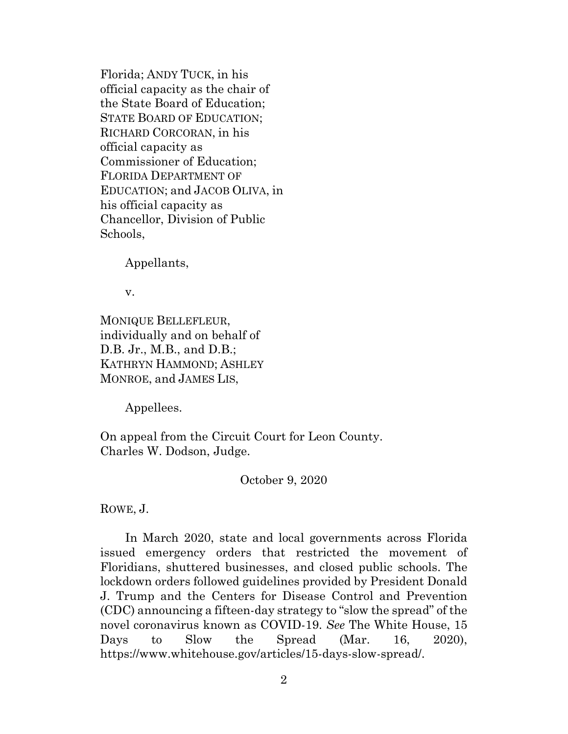Florida; ANDY TUCK, in his official capacity as the chair of the State Board of Education; STATE BOARD OF EDUCATION; RICHARD CORCORAN, in his official capacity as Commissioner of Education; FLORIDA DEPARTMENT OF EDUCATION; and JACOB OLIVA, in his official capacity as Chancellor, Division of Public Schools,

Appellants,

v.

MONIQUE BELLEFLEUR, individually and on behalf of D.B. Jr., M.B., and D.B.; KATHRYN HAMMOND; ASHLEY MONROE, and JAMES LIS,

Appellees.

On appeal from the Circuit Court for Leon County. Charles W. Dodson, Judge.

October 9, 2020

ROWE, J.

In March 2020, state and local governments across Florida issued emergency orders that restricted the movement of Floridians, shuttered businesses, and closed public schools. The lockdown orders followed guidelines provided by President Donald J. Trump and the Centers for Disease Control and Prevention (CDC) announcing a fifteen-day strategy to "slow the spread" of the novel coronavirus known as COVID-19. *See* The White House, 15 Days to Slow the Spread (Mar. 16, 2020), https://www.whitehouse.gov/articles/15-days-slow-spread/.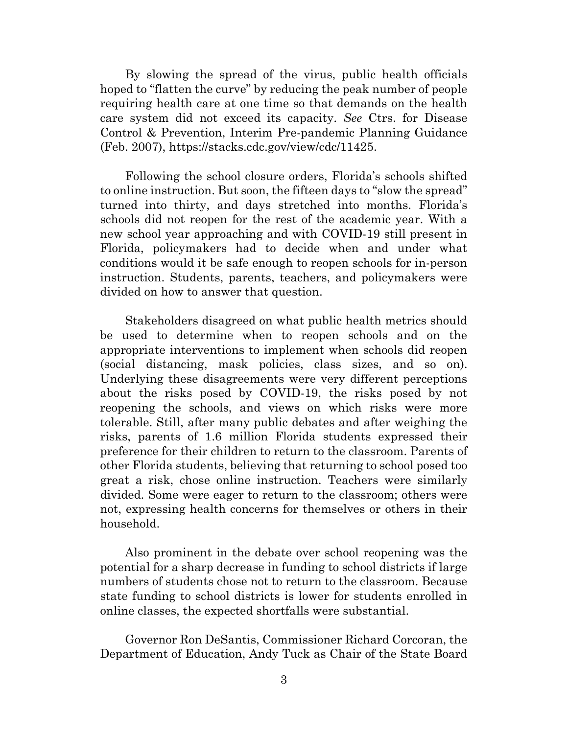By slowing the spread of the virus, public health officials hoped to "flatten the curve" by reducing the peak number of people requiring health care at one time so that demands on the health care system did not exceed its capacity. *See* Ctrs. for Disease Control & Prevention, Interim Pre-pandemic Planning Guidance (Feb. 2007), https://stacks.cdc.gov/view/cdc/11425.

Following the school closure orders, Florida's schools shifted to online instruction. But soon, the fifteen days to "slow the spread" turned into thirty, and days stretched into months. Florida's schools did not reopen for the rest of the academic year. With a new school year approaching and with COVID-19 still present in Florida, policymakers had to decide when and under what conditions would it be safe enough to reopen schools for in-person instruction. Students, parents, teachers, and policymakers were divided on how to answer that question.

Stakeholders disagreed on what public health metrics should be used to determine when to reopen schools and on the appropriate interventions to implement when schools did reopen (social distancing, mask policies, class sizes, and so on). Underlying these disagreements were very different perceptions about the risks posed by COVID-19, the risks posed by not reopening the schools, and views on which risks were more tolerable. Still, after many public debates and after weighing the risks, parents of 1.6 million Florida students expressed their preference for their children to return to the classroom. Parents of other Florida students, believing that returning to school posed too great a risk, chose online instruction. Teachers were similarly divided. Some were eager to return to the classroom; others were not, expressing health concerns for themselves or others in their household.

Also prominent in the debate over school reopening was the potential for a sharp decrease in funding to school districts if large numbers of students chose not to return to the classroom. Because state funding to school districts is lower for students enrolled in online classes, the expected shortfalls were substantial.

Governor Ron DeSantis, Commissioner Richard Corcoran, the Department of Education, Andy Tuck as Chair of the State Board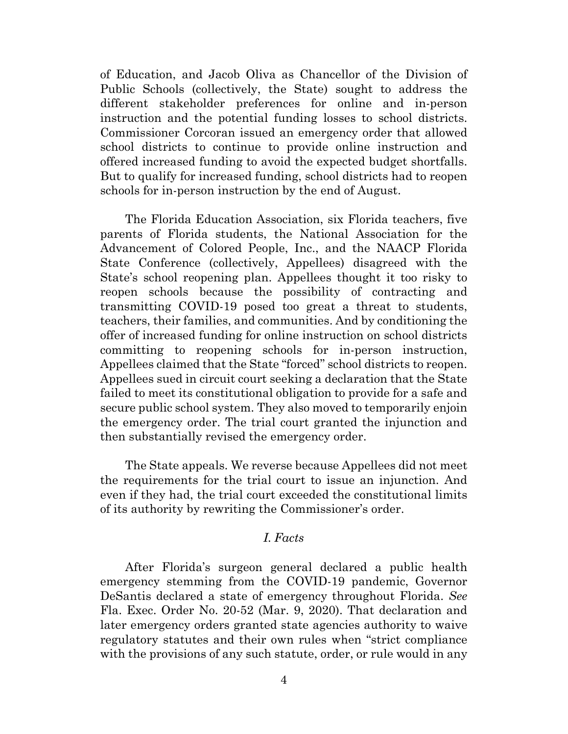of Education, and Jacob Oliva as Chancellor of the Division of Public Schools (collectively, the State) sought to address the different stakeholder preferences for online and in-person instruction and the potential funding losses to school districts. Commissioner Corcoran issued an emergency order that allowed school districts to continue to provide online instruction and offered increased funding to avoid the expected budget shortfalls. But to qualify for increased funding, school districts had to reopen schools for in-person instruction by the end of August.

The Florida Education Association, six Florida teachers, five parents of Florida students, the National Association for the Advancement of Colored People, Inc., and the NAACP Florida State Conference (collectively, Appellees) disagreed with the State's school reopening plan. Appellees thought it too risky to reopen schools because the possibility of contracting and transmitting COVID-19 posed too great a threat to students, teachers, their families, and communities. And by conditioning the offer of increased funding for online instruction on school districts committing to reopening schools for in-person instruction, Appellees claimed that the State "forced" school districts to reopen. Appellees sued in circuit court seeking a declaration that the State failed to meet its constitutional obligation to provide for a safe and secure public school system. They also moved to temporarily enjoin the emergency order. The trial court granted the injunction and then substantially revised the emergency order.

The State appeals. We reverse because Appellees did not meet the requirements for the trial court to issue an injunction. And even if they had, the trial court exceeded the constitutional limits of its authority by rewriting the Commissioner's order.

# *I. Facts*

After Florida's surgeon general declared a public health emergency stemming from the COVID-19 pandemic, Governor DeSantis declared a state of emergency throughout Florida. *See*  Fla. Exec. Order No. 20-52 (Mar. 9, 2020). That declaration and later emergency orders granted state agencies authority to waive regulatory statutes and their own rules when "strict compliance with the provisions of any such statute, order, or rule would in any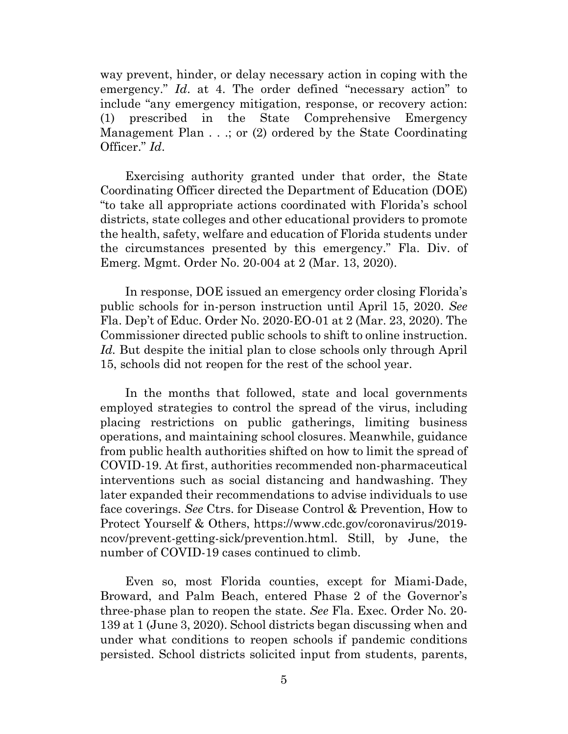way prevent, hinder, or delay necessary action in coping with the emergency." *Id.* at 4. The order defined "necessary action" to include "any emergency mitigation, response, or recovery action: (1) prescribed in the State Comprehensive Emergency Management Plan . . .; or (2) ordered by the State Coordinating Officer." *Id*.

Exercising authority granted under that order, the State Coordinating Officer directed the Department of Education (DOE) "to take all appropriate actions coordinated with Florida's school districts, state colleges and other educational providers to promote the health, safety, welfare and education of Florida students under the circumstances presented by this emergency." Fla. Div. of Emerg. Mgmt. Order No. 20-004 at 2 (Mar. 13, 2020).

In response, DOE issued an emergency order closing Florida's public schools for in-person instruction until April 15, 2020. *See* Fla. Dep't of Educ. Order No. 2020-EO-01 at 2 (Mar. 23, 2020). The Commissioner directed public schools to shift to online instruction. *Id.* But despite the initial plan to close schools only through April 15, schools did not reopen for the rest of the school year.

In the months that followed, state and local governments employed strategies to control the spread of the virus, including placing restrictions on public gatherings, limiting business operations, and maintaining school closures. Meanwhile, guidance from public health authorities shifted on how to limit the spread of COVID-19. At first, authorities recommended non-pharmaceutical interventions such as social distancing and handwashing. They later expanded their recommendations to advise individuals to use face coverings. *See* Ctrs. for Disease Control & Prevention, How to Protect Yourself & Others, https://www.cdc.gov/coronavirus/2019 ncov/prevent-getting-sick/prevention.html. Still, by June, the number of COVID-19 cases continued to climb.

Even so, most Florida counties, except for Miami-Dade, Broward, and Palm Beach, entered Phase 2 of the Governor's three-phase plan to reopen the state. *See* Fla. Exec. Order No. 20- 139 at 1 (June 3, 2020). School districts began discussing when and under what conditions to reopen schools if pandemic conditions persisted. School districts solicited input from students, parents,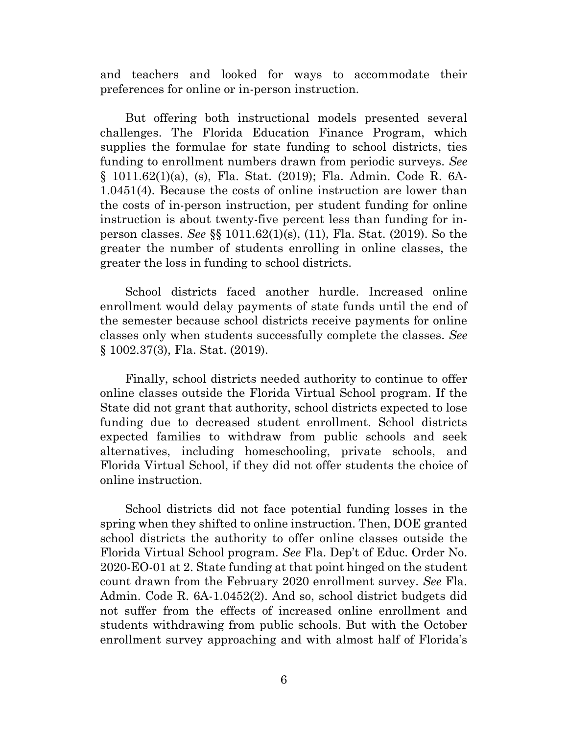and teachers and looked for ways to accommodate their preferences for online or in-person instruction.

But offering both instructional models presented several challenges. The Florida Education Finance Program, which supplies the formulae for state funding to school districts, ties funding to enrollment numbers drawn from periodic surveys. *See*  § 1011.62(1)(a), (s), Fla. Stat. (2019); Fla. Admin. Code R. 6A-1.0451(4). Because the costs of online instruction are lower than the costs of in-person instruction, per student funding for online instruction is about twenty-five percent less than funding for inperson classes. *See* §§ 1011.62(1)(s), (11), Fla. Stat. (2019). So the greater the number of students enrolling in online classes, the greater the loss in funding to school districts.

School districts faced another hurdle. Increased online enrollment would delay payments of state funds until the end of the semester because school districts receive payments for online classes only when students successfully complete the classes. *See* § 1002.37(3), Fla. Stat. (2019).

Finally, school districts needed authority to continue to offer online classes outside the Florida Virtual School program. If the State did not grant that authority, school districts expected to lose funding due to decreased student enrollment. School districts expected families to withdraw from public schools and seek alternatives, including homeschooling, private schools, and Florida Virtual School, if they did not offer students the choice of online instruction.

School districts did not face potential funding losses in the spring when they shifted to online instruction. Then, DOE granted school districts the authority to offer online classes outside the Florida Virtual School program. *See* Fla. Dep't of Educ. Order No. 2020-EO-01 at 2. State funding at that point hinged on the student count drawn from the February 2020 enrollment survey. *See* Fla. Admin. Code R. 6A-1.0452(2). And so, school district budgets did not suffer from the effects of increased online enrollment and students withdrawing from public schools. But with the October enrollment survey approaching and with almost half of Florida's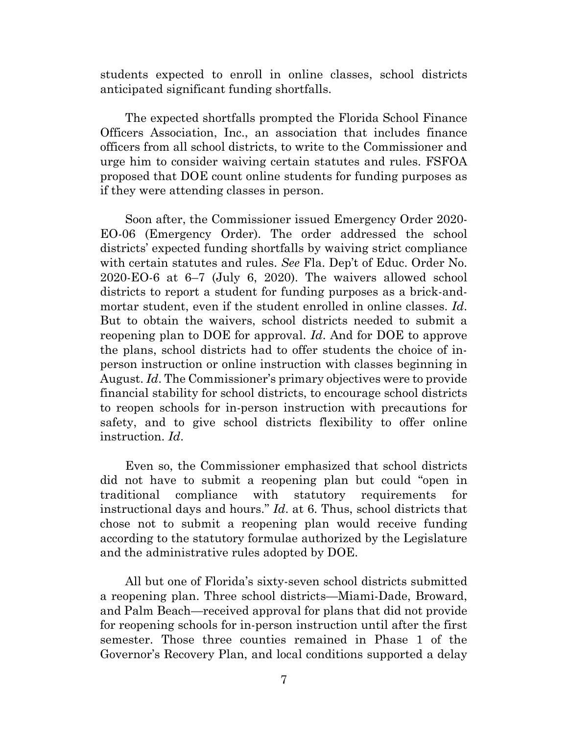students expected to enroll in online classes, school districts anticipated significant funding shortfalls.

The expected shortfalls prompted the Florida School Finance Officers Association, Inc., an association that includes finance officers from all school districts, to write to the Commissioner and urge him to consider waiving certain statutes and rules. FSFOA proposed that DOE count online students for funding purposes as if they were attending classes in person.

Soon after, the Commissioner issued Emergency Order 2020- EO-06 (Emergency Order). The order addressed the school districts' expected funding shortfalls by waiving strict compliance with certain statutes and rules. *See* Fla. Dep't of Educ. Order No. 2020-EO-6 at 6–7 (July 6, 2020). The waivers allowed school districts to report a student for funding purposes as a brick-andmortar student, even if the student enrolled in online classes. *Id*. But to obtain the waivers, school districts needed to submit a reopening plan to DOE for approval. *Id*. And for DOE to approve the plans, school districts had to offer students the choice of inperson instruction or online instruction with classes beginning in August. *Id*. The Commissioner's primary objectives were to provide financial stability for school districts, to encourage school districts to reopen schools for in-person instruction with precautions for safety, and to give school districts flexibility to offer online instruction. *Id*.

Even so, the Commissioner emphasized that school districts did not have to submit a reopening plan but could "open in traditional compliance with statutory requirements for instructional days and hours." *Id*. at 6. Thus, school districts that chose not to submit a reopening plan would receive funding according to the statutory formulae authorized by the Legislature and the administrative rules adopted by DOE.

All but one of Florida's sixty-seven school districts submitted a reopening plan. Three school districts—Miami-Dade, Broward, and Palm Beach—received approval for plans that did not provide for reopening schools for in-person instruction until after the first semester. Those three counties remained in Phase 1 of the Governor's Recovery Plan, and local conditions supported a delay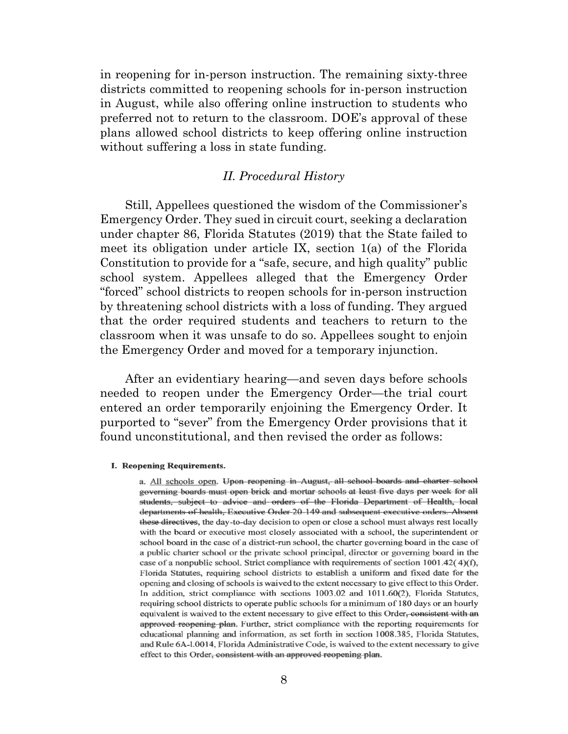in reopening for in-person instruction. The remaining sixty-three districts committed to reopening schools for in-person instruction in August, while also offering online instruction to students who preferred not to return to the classroom. DOE's approval of these plans allowed school districts to keep offering online instruction without suffering a loss in state funding.

#### *II. Procedural History*

Still, Appellees questioned the wisdom of the Commissioner's Emergency Order. They sued in circuit court, seeking a declaration under chapter 86, Florida Statutes (2019) that the State failed to meet its obligation under article IX, section 1(a) of the Florida Constitution to provide for a "safe, secure, and high quality" public school system. Appellees alleged that the Emergency Order "forced" school districts to reopen schools for in-person instruction by threatening school districts with a loss of funding. They argued that the order required students and teachers to return to the classroom when it was unsafe to do so. Appellees sought to enjoin the Emergency Order and moved for a temporary injunction.

After an evidentiary hearing—and seven days before schools needed to reopen under the Emergency Order—the trial court entered an order temporarily enjoining the Emergency Order. It purported to "sever" from the Emergency Order provisions that it found unconstitutional, and then revised the order as follows:

#### **I. Reopening Requirements.**

a. All schools open. Upon reopening in August, all school boards and charter school governing boards must open brick and mortar schools at least five days per week for all students, subject to advice and orders of the Florida Department of Health, local departments of health. Executive Order 20-149 and subsequent executive orders. Absent these directives, the day-to-day decision to open or close a school must always rest locally with the board or executive most closely associated with a school, the superintendent or school board in the case of a district-run school, the charter governing board in the case of a public charter school or the private school principal, director or governing board in the case of a nonpublic school. Strict compliance with requirements of section  $1001.42(4)(f)$ , Florida Statutes, requiring school districts to establish a uniform and fixed date for the opening and closing of schools is waived to the extent necessary to give effect to this Order. In addition, strict compliance with sections 1003.02 and 1011.60(2), Florida Statutes, requiring school districts to operate public schools for a minimum of 180 days or an hourly equivalent is waived to the extent necessary to give effect to this Order, consistent with an approved reopening plan. Further, strict compliance with the reporting requirements for educational planning and information, as set forth in section 1008.385, Florida Statutes, and Rule 6A-1.0014, Florida Administrative Code, is waived to the extent necessary to give effect to this Order, consistent with an approved reopening plan.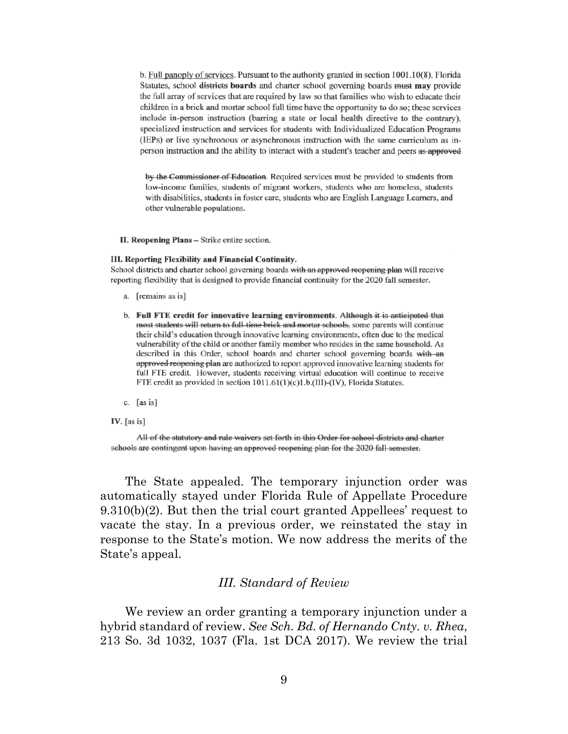b. Full panoply of services. Pursuant to the authority granted in section  $1001.10(8)$ , Florida Statutes, school districts boards and charter school governing boards must may provide the full array of services that are required by law so that families who wish to educate their children in a brick and mortar school full time have the opportunity to do so; these services include in-person instruction (barring a state or local health directive to the contrary), specialized instruction and services for students with Individualized Education Programs (IEPs) or live synchronous or asynchronous instruction with the same curriculum as inperson instruction and the ability to interact with a student's teacher and peers as approved

by the Commissioner of Education. Required services must be provided to students from low-income families, students of migrant workers, students who are homeless, students with disabilities, students in foster care, students who are English Language Learners, and other vulnerable populations.

II. Reopening Plans - Strike entire section.

#### III. Reporting Flexibility and Financial Continuity.

School districts and charter school governing boards with an approved reopening plan will receive reporting flexibility that is designed to provide financial continuity for the 2020 fall semester.

- a. [remains as is]
- b. Full FTE credit for innovative learning environments. Although it is anticipated that most students will return to full-time brick and mortar schools, some parents will continue their child's education through innovative learning environments, often due to the medical vulnerability of the child or another family member who resides in the same household. As described in this Order, school boards and charter school governing boards with an approved reopening plan are authorized to report approved innovative learning students for full FTE credit. However, students receiving virtual education will continue to receive FTE credit as provided in section 1011.61(1)(c)1.b.(III)-(IV), Florida Statutes.
- c.  $[as is]$
- IV.  $[as is]$

All of the statutory and rule waivers set forth in this Order for school districts and charter schools are contingent upon having an approved reopening plan for the 2020 fall semester.

The State appealed. The temporary injunction order was automatically stayed under Florida Rule of Appellate Procedure 9.310(b)(2). But then the trial court granted Appellees' request to vacate the stay. In a previous order, we reinstated the stay in response to the State's motion. We now address the merits of the State's appeal.

#### *III. Standard of Review*

We review an order granting a temporary injunction under a hybrid standard of review. *See Sch. Bd. of Hernando Cnty. v. Rhea*, 213 So. 3d 1032, 1037 (Fla. 1st DCA 2017). We review the trial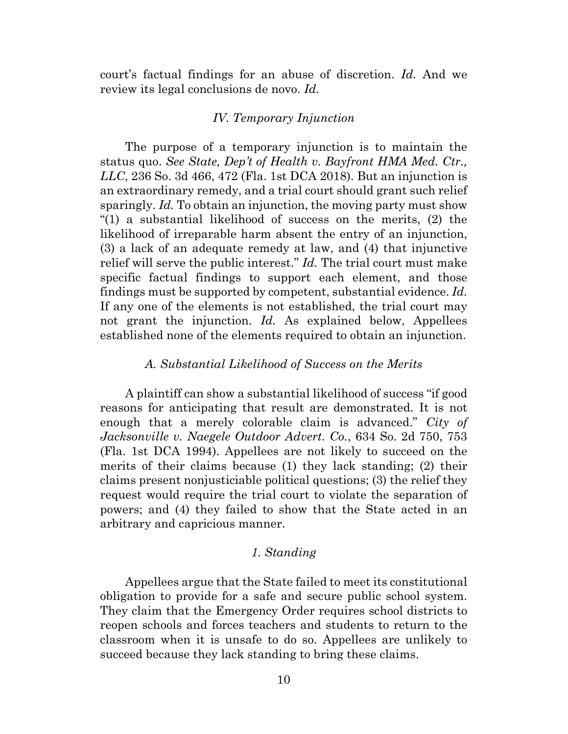court's factual findings for an abuse of discretion. *Id.* And we review its legal conclusions de novo. *Id.* 

#### *IV. Temporary Injunction*

The purpose of a temporary injunction is to maintain the status quo. *See State, Dep't of Health v. Bayfront HMA Med. Ctr., LLC*, 236 So. 3d 466, 472 (Fla. 1st DCA 2018). But an injunction is an extraordinary remedy, and a trial court should grant such relief sparingly. *Id.* To obtain an injunction, the moving party must show "(1) a substantial likelihood of success on the merits, (2) the likelihood of irreparable harm absent the entry of an injunction, (3) a lack of an adequate remedy at law, and (4) that injunctive relief will serve the public interest." *Id.* The trial court must make specific factual findings to support each element, and those findings must be supported by competent, substantial evidence. *Id.*  If any one of the elements is not established, the trial court may not grant the injunction. *Id.* As explained below, Appellees established none of the elements required to obtain an injunction.

#### *A. Substantial Likelihood of Success on the Merits*

A plaintiff can show a substantial likelihood of success "if good reasons for anticipating that result are demonstrated. It is not enough that a merely colorable claim is advanced." *City of Jacksonville v. Naegele Outdoor Advert. Co.*, 634 So. 2d 750, 753 (Fla. 1st DCA 1994). Appellees are not likely to succeed on the merits of their claims because (1) they lack standing; (2) their claims present nonjusticiable political questions; (3) the relief they request would require the trial court to violate the separation of powers; and (4) they failed to show that the State acted in an arbitrary and capricious manner.

### *1. Standing*

Appellees argue that the State failed to meet its constitutional obligation to provide for a safe and secure public school system. They claim that the Emergency Order requires school districts to reopen schools and forces teachers and students to return to the classroom when it is unsafe to do so. Appellees are unlikely to succeed because they lack standing to bring these claims.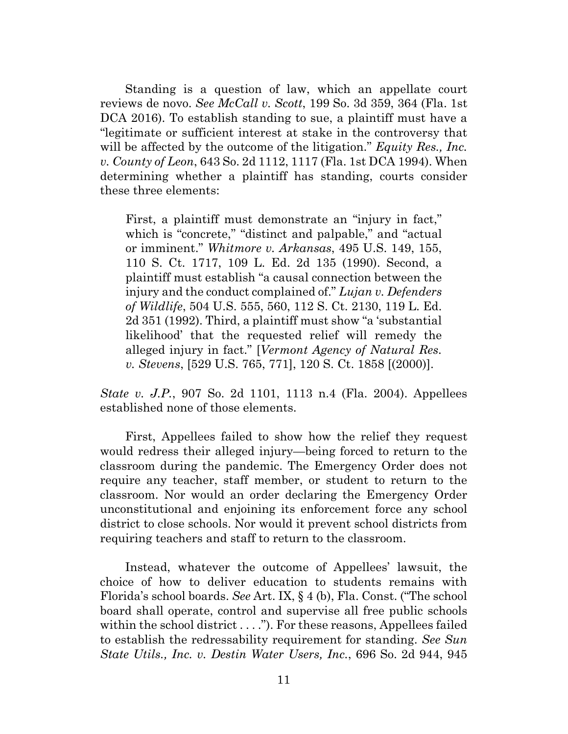Standing is a question of law, which an appellate court reviews de novo. *See McCall v. Scott*, 199 So. 3d 359, 364 (Fla. 1st DCA 2016). To establish standing to sue, a plaintiff must have a "legitimate or sufficient interest at stake in the controversy that will be affected by the outcome of the litigation." *Equity Res., Inc. v. County of Leon*, 643 So. 2d 1112, 1117 (Fla. 1st DCA 1994). When determining whether a plaintiff has standing, courts consider these three elements:

First, a plaintiff must demonstrate an "injury in fact," which is "concrete," "distinct and palpable," and "actual" or imminent." *Whitmore v. Arkansas*, 495 U.S. 149, 155, 110 S. Ct. 1717, 109 L. Ed. 2d 135 (1990). Second, a plaintiff must establish "a causal connection between the injury and the conduct complained of." *Lujan v. Defenders of Wildlife*, 504 U.S. 555, 560, 112 S. Ct. 2130, 119 L. Ed. 2d 351 (1992). Third, a plaintiff must show "a 'substantial likelihood' that the requested relief will remedy the alleged injury in fact." [*Vermont Agency of Natural Res. v. Stevens*, [529 U.S. 765, 771], 120 S. Ct. 1858 [(2000)].

*State v. J.P.*, 907 So. 2d 1101, 1113 n.4 (Fla. 2004). Appellees established none of those elements.

First, Appellees failed to show how the relief they request would redress their alleged injury—being forced to return to the classroom during the pandemic. The Emergency Order does not require any teacher, staff member, or student to return to the classroom. Nor would an order declaring the Emergency Order unconstitutional and enjoining its enforcement force any school district to close schools. Nor would it prevent school districts from requiring teachers and staff to return to the classroom.

Instead, whatever the outcome of Appellees' lawsuit, the choice of how to deliver education to students remains with Florida's school boards. *See* Art. IX, § 4 (b), Fla. Const. ("The school board shall operate, control and supervise all free public schools within the school district . . . ."). For these reasons, Appellees failed to establish the redressability requirement for standing. *See Sun State Utils., Inc. v. Destin Water Users, Inc.*, 696 So. 2d 944, 945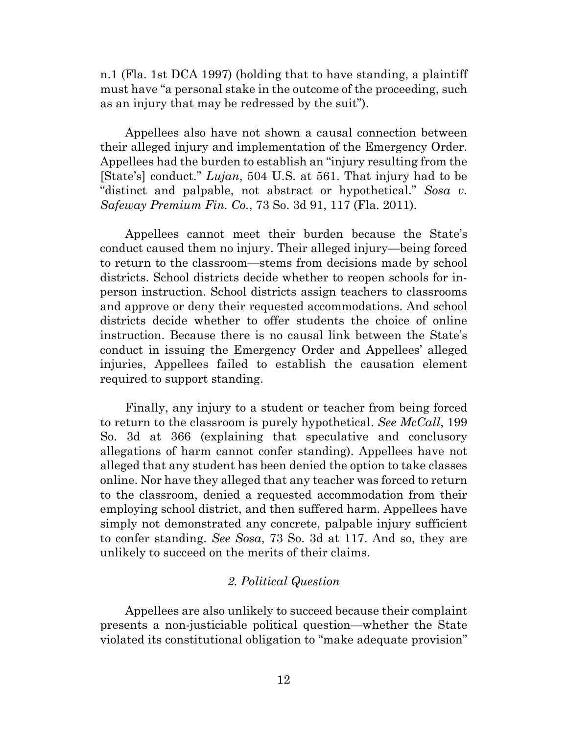n.1 (Fla. 1st DCA 1997) (holding that to have standing, a plaintiff must have "a personal stake in the outcome of the proceeding, such as an injury that may be redressed by the suit").

Appellees also have not shown a causal connection between their alleged injury and implementation of the Emergency Order. Appellees had the burden to establish an "injury resulting from the [State's] conduct." *Lujan*, 504 U.S. at 561. That injury had to be "distinct and palpable, not abstract or hypothetical." *Sosa v. Safeway Premium Fin. Co.*, 73 So. 3d 91, 117 (Fla. 2011).

Appellees cannot meet their burden because the State's conduct caused them no injury. Their alleged injury—being forced to return to the classroom—stems from decisions made by school districts. School districts decide whether to reopen schools for inperson instruction. School districts assign teachers to classrooms and approve or deny their requested accommodations. And school districts decide whether to offer students the choice of online instruction. Because there is no causal link between the State's conduct in issuing the Emergency Order and Appellees' alleged injuries, Appellees failed to establish the causation element required to support standing.

Finally, any injury to a student or teacher from being forced to return to the classroom is purely hypothetical. *See McCall*, 199 So. 3d at 366 (explaining that speculative and conclusory allegations of harm cannot confer standing). Appellees have not alleged that any student has been denied the option to take classes online. Nor have they alleged that any teacher was forced to return to the classroom, denied a requested accommodation from their employing school district, and then suffered harm. Appellees have simply not demonstrated any concrete, palpable injury sufficient to confer standing. *See Sosa*, 73 So. 3d at 117. And so, they are unlikely to succeed on the merits of their claims.

# *2. Political Question*

Appellees are also unlikely to succeed because their complaint presents a non-justiciable political question—whether the State violated its constitutional obligation to "make adequate provision"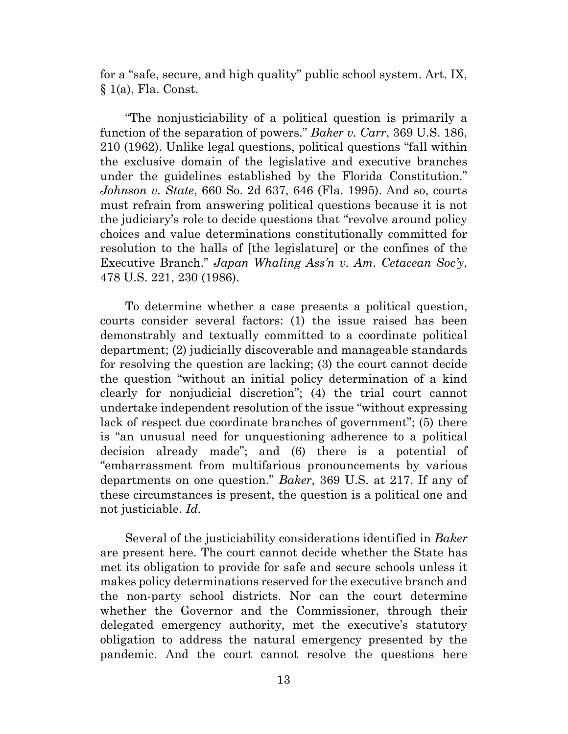for a "safe, secure, and high quality" public school system. Art. IX, § 1(a), Fla. Const.

"The nonjusticiability of a political question is primarily a function of the separation of powers." *Baker v. Carr*, 369 U.S. 186, 210 (1962). Unlike legal questions, political questions "fall within the exclusive domain of the legislative and executive branches under the guidelines established by the Florida Constitution." *Johnson v. State*, 660 So. 2d 637, 646 (Fla. 1995). And so, courts must refrain from answering political questions because it is not the judiciary's role to decide questions that "revolve around policy choices and value determinations constitutionally committed for resolution to the halls of [the legislature] or the confines of the Executive Branch." *Japan Whaling Ass'n v. Am. Cetacean Soc'y*, 478 U.S. 221, 230 (1986).

To determine whether a case presents a political question, courts consider several factors: (1) the issue raised has been demonstrably and textually committed to a coordinate political department; (2) judicially discoverable and manageable standards for resolving the question are lacking; (3) the court cannot decide the question "without an initial policy determination of a kind clearly for nonjudicial discretion"; (4) the trial court cannot undertake independent resolution of the issue "without expressing lack of respect due coordinate branches of government"; (5) there is "an unusual need for unquestioning adherence to a political decision already made"; and (6) there is a potential of "embarrassment from multifarious pronouncements by various departments on one question." *Baker*, 369 U.S. at 217. If any of these circumstances is present, the question is a political one and not justiciable. *Id.* 

Several of the justiciability considerations identified in *Baker* are present here. The court cannot decide whether the State has met its obligation to provide for safe and secure schools unless it makes policy determinations reserved for the executive branch and the non-party school districts. Nor can the court determine whether the Governor and the Commissioner, through their delegated emergency authority, met the executive's statutory obligation to address the natural emergency presented by the pandemic. And the court cannot resolve the questions here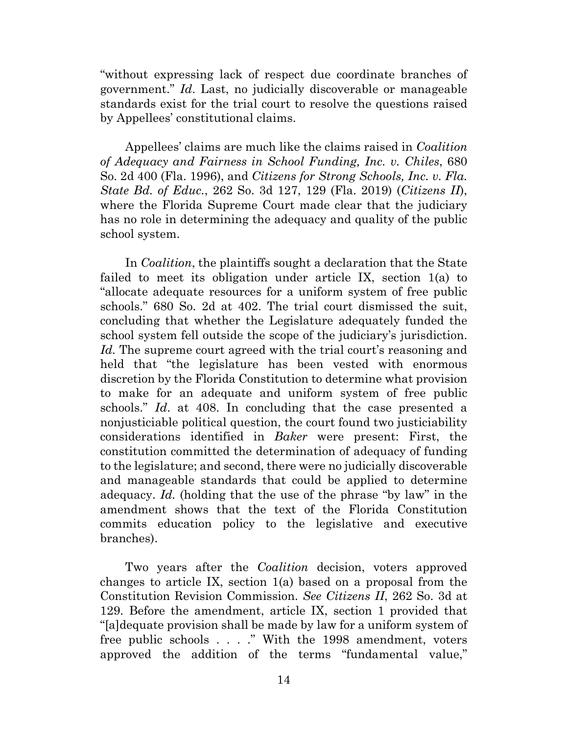"without expressing lack of respect due coordinate branches of government." *Id*. Last, no judicially discoverable or manageable standards exist for the trial court to resolve the questions raised by Appellees' constitutional claims.

Appellees' claims are much like the claims raised in *Coalition of Adequacy and Fairness in School Funding, Inc. v. Chiles*, 680 So. 2d 400 (Fla. 1996), and *Citizens for Strong Schools, Inc. v. Fla. State Bd. of Educ.*, 262 So. 3d 127, 129 (Fla. 2019) (*Citizens II*), where the Florida Supreme Court made clear that the judiciary has no role in determining the adequacy and quality of the public school system.

In *Coalition*, the plaintiffs sought a declaration that the State failed to meet its obligation under article IX, section 1(a) to "allocate adequate resources for a uniform system of free public schools." 680 So. 2d at 402. The trial court dismissed the suit, concluding that whether the Legislature adequately funded the school system fell outside the scope of the judiciary's jurisdiction. Id. The supreme court agreed with the trial court's reasoning and held that "the legislature has been vested with enormous discretion by the Florida Constitution to determine what provision to make for an adequate and uniform system of free public schools." *Id*. at 408. In concluding that the case presented a nonjusticiable political question, the court found two justiciability considerations identified in *Baker* were present: First, the constitution committed the determination of adequacy of funding to the legislature; and second, there were no judicially discoverable and manageable standards that could be applied to determine adequacy. *Id.* (holding that the use of the phrase "by law" in the amendment shows that the text of the Florida Constitution commits education policy to the legislative and executive branches).

Two years after the *Coalition* decision, voters approved changes to article IX, section 1(a) based on a proposal from the Constitution Revision Commission. *See Citizens II*, 262 So. 3d at 129. Before the amendment, article IX, section 1 provided that "[a]dequate provision shall be made by law for a uniform system of free public schools . . . ." With the 1998 amendment, voters approved the addition of the terms "fundamental value,"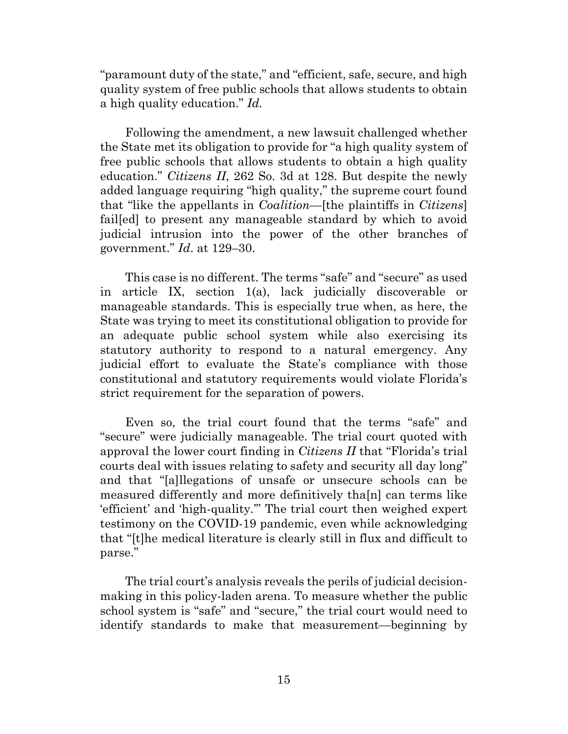"paramount duty of the state," and "efficient, safe, secure, and high quality system of free public schools that allows students to obtain a high quality education." *Id.* 

Following the amendment, a new lawsuit challenged whether the State met its obligation to provide for "a high quality system of free public schools that allows students to obtain a high quality education." *Citizens II*, 262 So. 3d at 128. But despite the newly added language requiring "high quality," the supreme court found that "like the appellants in *Coalition*—[the plaintiffs in *Citizens*] fail[ed] to present any manageable standard by which to avoid judicial intrusion into the power of the other branches of government." *Id*. at 129–30.

This case is no different. The terms "safe" and "secure" as used in article IX, section 1(a), lack judicially discoverable or manageable standards. This is especially true when, as here, the State was trying to meet its constitutional obligation to provide for an adequate public school system while also exercising its statutory authority to respond to a natural emergency. Any judicial effort to evaluate the State's compliance with those constitutional and statutory requirements would violate Florida's strict requirement for the separation of powers.

Even so, the trial court found that the terms "safe" and "secure" were judicially manageable. The trial court quoted with approval the lower court finding in *Citizens II* that "Florida's trial courts deal with issues relating to safety and security all day long" and that "[a]llegations of unsafe or unsecure schools can be measured differently and more definitively tha[n] can terms like 'efficient' and 'high-quality.'" The trial court then weighed expert testimony on the COVID-19 pandemic, even while acknowledging that "[t]he medical literature is clearly still in flux and difficult to parse."

The trial court's analysis reveals the perils of judicial decisionmaking in this policy-laden arena. To measure whether the public school system is "safe" and "secure," the trial court would need to identify standards to make that measurement—beginning by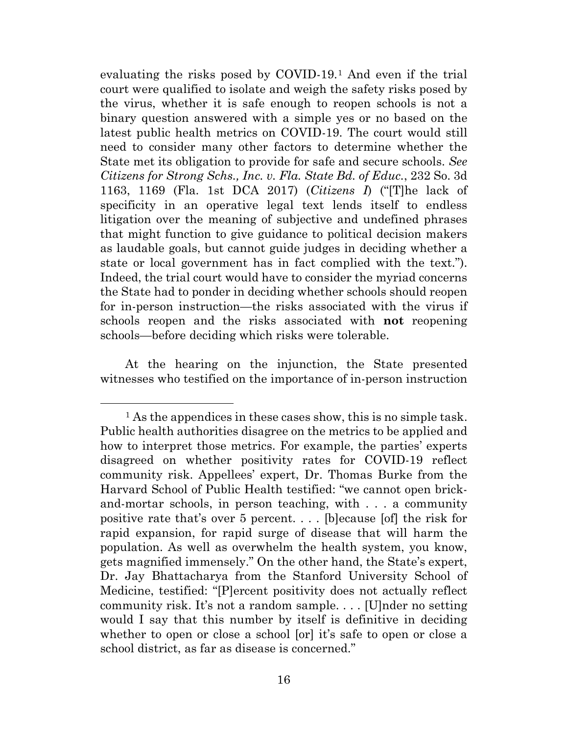evaluating the risks posed by COVID-19.[1](#page-15-0) And even if the trial court were qualified to isolate and weigh the safety risks posed by the virus, whether it is safe enough to reopen schools is not a binary question answered with a simple yes or no based on the latest public health metrics on COVID-19. The court would still need to consider many other factors to determine whether the State met its obligation to provide for safe and secure schools. *See Citizens for Strong Schs., Inc. v. Fla. State Bd. of Educ.*, 232 So. 3d 1163, 1169 (Fla. 1st DCA 2017) (*Citizens I*) ("[T]he lack of specificity in an operative legal text lends itself to endless litigation over the meaning of subjective and undefined phrases that might function to give guidance to political decision makers as laudable goals, but cannot guide judges in deciding whether a state or local government has in fact complied with the text."). Indeed, the trial court would have to consider the myriad concerns the State had to ponder in deciding whether schools should reopen for in-person instruction—the risks associated with the virus if schools reopen and the risks associated with **not** reopening schools—before deciding which risks were tolerable.

At the hearing on the injunction, the State presented witnesses who testified on the importance of in-person instruction

<span id="page-15-0"></span><sup>&</sup>lt;sup>1</sup> As the appendices in these cases show, this is no simple task. Public health authorities disagree on the metrics to be applied and how to interpret those metrics. For example, the parties' experts disagreed on whether positivity rates for COVID-19 reflect community risk. Appellees' expert, Dr. Thomas Burke from the Harvard School of Public Health testified: "we cannot open brickand-mortar schools, in person teaching, with . . . a community positive rate that's over 5 percent. . . . [b]ecause [of] the risk for rapid expansion, for rapid surge of disease that will harm the population. As well as overwhelm the health system, you know, gets magnified immensely." On the other hand, the State's expert, Dr. Jay Bhattacharya from the Stanford University School of Medicine, testified: "[P]ercent positivity does not actually reflect community risk. It's not a random sample. . . . [U]nder no setting would I say that this number by itself is definitive in deciding whether to open or close a school [or] it's safe to open or close a school district, as far as disease is concerned."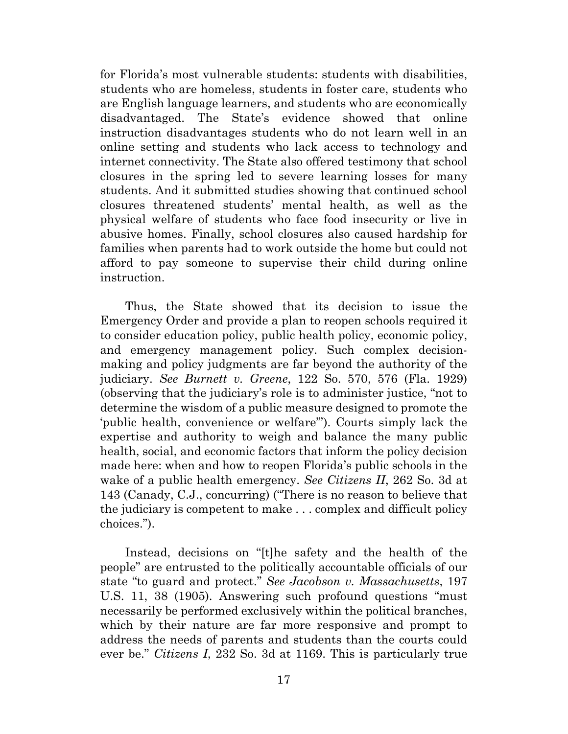for Florida's most vulnerable students: students with disabilities, students who are homeless, students in foster care, students who are English language learners, and students who are economically disadvantaged. The State's evidence showed that online instruction disadvantages students who do not learn well in an online setting and students who lack access to technology and internet connectivity. The State also offered testimony that school closures in the spring led to severe learning losses for many students. And it submitted studies showing that continued school closures threatened students' mental health, as well as the physical welfare of students who face food insecurity or live in abusive homes. Finally, school closures also caused hardship for families when parents had to work outside the home but could not afford to pay someone to supervise their child during online instruction.

Thus, the State showed that its decision to issue the Emergency Order and provide a plan to reopen schools required it to consider education policy, public health policy, economic policy, and emergency management policy. Such complex decisionmaking and policy judgments are far beyond the authority of the judiciary. *See Burnett v. Greene*, 122 So. 570, 576 (Fla. 1929) (observing that the judiciary's role is to administer justice, "not to determine the wisdom of a public measure designed to promote the 'public health, convenience or welfare'"). Courts simply lack the expertise and authority to weigh and balance the many public health, social, and economic factors that inform the policy decision made here: when and how to reopen Florida's public schools in the wake of a public health emergency. *See Citizens II*, 262 So. 3d at 143 (Canady, C.J., concurring) ("There is no reason to believe that the judiciary is competent to make . . . complex and difficult policy choices.").

Instead, decisions on "[t]he safety and the health of the people" are entrusted to the politically accountable officials of our state "to guard and protect." *See Jacobson v. Massachusetts*, 197 U.S. 11, 38 (1905). Answering such profound questions "must necessarily be performed exclusively within the political branches, which by their nature are far more responsive and prompt to address the needs of parents and students than the courts could ever be." *Citizens I*, 232 So. 3d at 1169. This is particularly true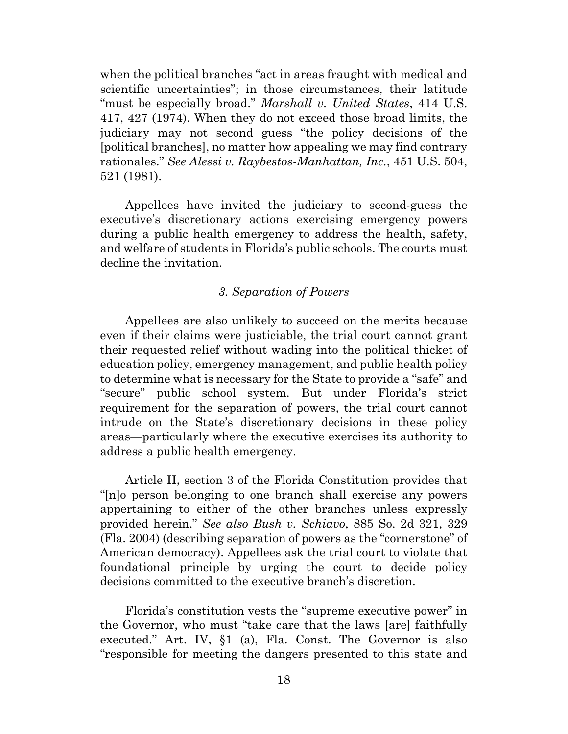when the political branches "act in areas fraught with medical and scientific uncertainties"; in those circumstances, their latitude "must be especially broad." *Marshall v. United States*, 414 U.S. 417, 427 (1974). When they do not exceed those broad limits, the judiciary may not second guess "the policy decisions of the [political branches], no matter how appealing we may find contrary rationales." *See Alessi v. Raybestos-Manhattan, Inc.*, 451 U.S. 504, 521 (1981).

Appellees have invited the judiciary to second-guess the executive's discretionary actions exercising emergency powers during a public health emergency to address the health, safety, and welfare of students in Florida's public schools. The courts must decline the invitation.

## *3. Separation of Powers*

Appellees are also unlikely to succeed on the merits because even if their claims were justiciable, the trial court cannot grant their requested relief without wading into the political thicket of education policy, emergency management, and public health policy to determine what is necessary for the State to provide a "safe" and "secure" public school system. But under Florida's strict requirement for the separation of powers, the trial court cannot intrude on the State's discretionary decisions in these policy areas—particularly where the executive exercises its authority to address a public health emergency.

Article II, section 3 of the Florida Constitution provides that "[n]o person belonging to one branch shall exercise any powers appertaining to either of the other branches unless expressly provided herein." *See also Bush v. Schiavo*, 885 So. 2d 321, 329 (Fla. 2004) (describing separation of powers as the "cornerstone" of American democracy). Appellees ask the trial court to violate that foundational principle by urging the court to decide policy decisions committed to the executive branch's discretion.

Florida's constitution vests the "supreme executive power" in the Governor, who must "take care that the laws [are] faithfully executed." Art. IV, §1 (a), Fla. Const. The Governor is also "responsible for meeting the dangers presented to this state and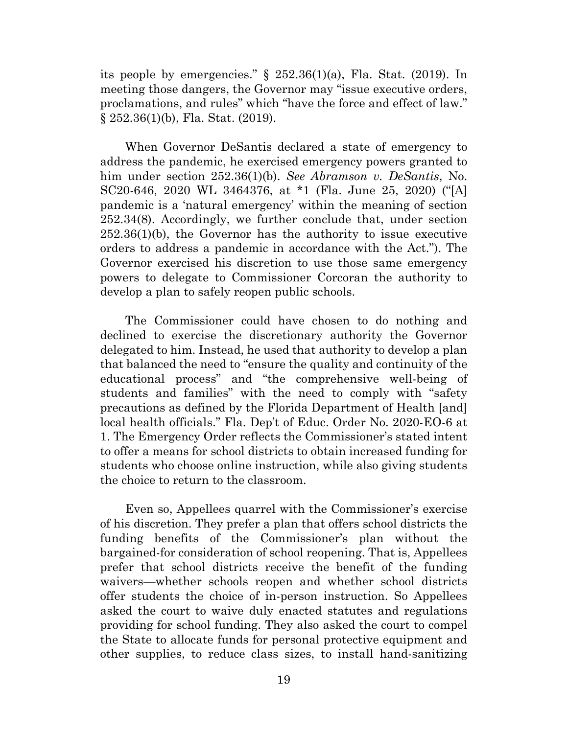its people by emergencies."  $\S$  252.36(1)(a), Fla. Stat. (2019). In meeting those dangers, the Governor may "issue executive orders, proclamations, and rules" which "have the force and effect of law." § 252.36(1)(b), Fla. Stat. (2019).

When Governor DeSantis declared a state of emergency to address the pandemic, he exercised emergency powers granted to him under section 252.36(1)(b). *See Abramson v. DeSantis*, No. SC20-646, 2020 WL 3464376, at \*1 (Fla. June 25, 2020) ("[A] pandemic is a 'natural emergency' within the meaning of section 252.34(8). Accordingly, we further conclude that, under section 252.36(1)(b), the Governor has the authority to issue executive orders to address a pandemic in accordance with the Act."). The Governor exercised his discretion to use those same emergency powers to delegate to Commissioner Corcoran the authority to develop a plan to safely reopen public schools.

The Commissioner could have chosen to do nothing and declined to exercise the discretionary authority the Governor delegated to him. Instead, he used that authority to develop a plan that balanced the need to "ensure the quality and continuity of the educational process" and "the comprehensive well-being of students and families" with the need to comply with "safety precautions as defined by the Florida Department of Health [and] local health officials." Fla. Dep't of Educ. Order No. 2020-EO-6 at 1. The Emergency Order reflects the Commissioner's stated intent to offer a means for school districts to obtain increased funding for students who choose online instruction, while also giving students the choice to return to the classroom.

Even so, Appellees quarrel with the Commissioner's exercise of his discretion. They prefer a plan that offers school districts the funding benefits of the Commissioner's plan without the bargained-for consideration of school reopening. That is, Appellees prefer that school districts receive the benefit of the funding waivers—whether schools reopen and whether school districts offer students the choice of in-person instruction. So Appellees asked the court to waive duly enacted statutes and regulations providing for school funding. They also asked the court to compel the State to allocate funds for personal protective equipment and other supplies, to reduce class sizes, to install hand-sanitizing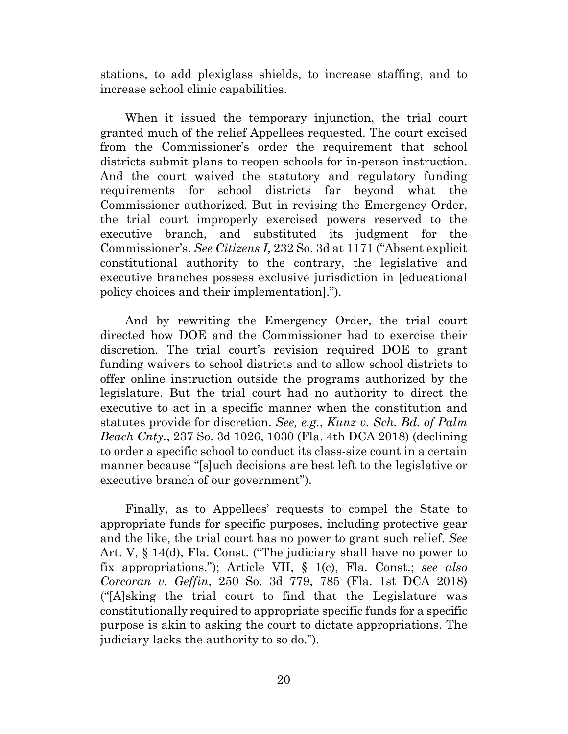stations, to add plexiglass shields, to increase staffing, and to increase school clinic capabilities.

When it issued the temporary injunction, the trial court granted much of the relief Appellees requested. The court excised from the Commissioner's order the requirement that school districts submit plans to reopen schools for in-person instruction. And the court waived the statutory and regulatory funding requirements for school districts far beyond what the Commissioner authorized. But in revising the Emergency Order, the trial court improperly exercised powers reserved to the executive branch, and substituted its judgment for the Commissioner's. *See Citizens I*, 232 So. 3d at 1171 ("Absent explicit constitutional authority to the contrary, the legislative and executive branches possess exclusive jurisdiction in [educational policy choices and their implementation].").

And by rewriting the Emergency Order, the trial court directed how DOE and the Commissioner had to exercise their discretion. The trial court's revision required DOE to grant funding waivers to school districts and to allow school districts to offer online instruction outside the programs authorized by the legislature. But the trial court had no authority to direct the executive to act in a specific manner when the constitution and statutes provide for discretion. *See, e.g.*, *Kunz v. Sch. Bd. of Palm Beach Cnty.*, 237 So. 3d 1026, 1030 (Fla. 4th DCA 2018) (declining to order a specific school to conduct its class-size count in a certain manner because "[s]uch decisions are best left to the legislative or executive branch of our government").

Finally, as to Appellees' requests to compel the State to appropriate funds for specific purposes, including protective gear and the like, the trial court has no power to grant such relief. *See*  Art. V, § 14(d), Fla. Const. ("The judiciary shall have no power to fix appropriations."); Article VII, § 1(c), Fla. Const.; *see also Corcoran v. Geffin*, 250 So. 3d 779, 785 (Fla. 1st DCA 2018) ("[A]sking the trial court to find that the Legislature was constitutionally required to appropriate specific funds for a specific purpose is akin to asking the court to dictate appropriations. The judiciary lacks the authority to so do.").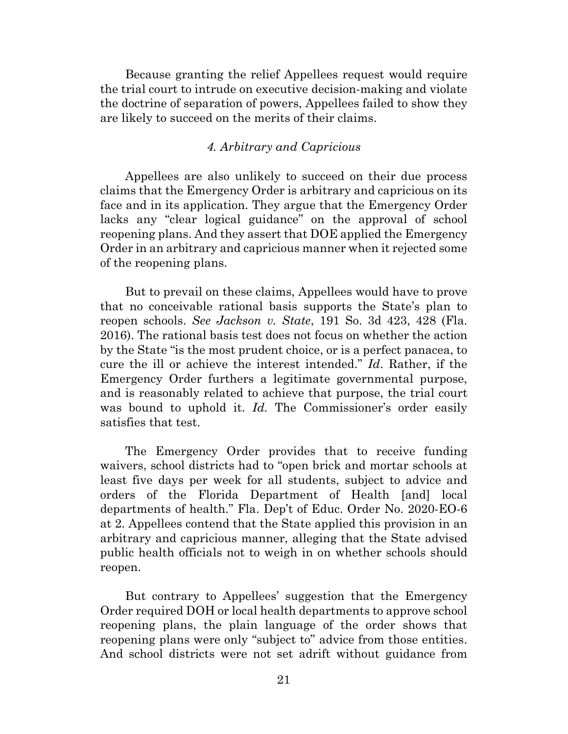Because granting the relief Appellees request would require the trial court to intrude on executive decision-making and violate the doctrine of separation of powers, Appellees failed to show they are likely to succeed on the merits of their claims.

# *4. Arbitrary and Capricious*

Appellees are also unlikely to succeed on their due process claims that the Emergency Order is arbitrary and capricious on its face and in its application. They argue that the Emergency Order lacks any "clear logical guidance" on the approval of school reopening plans. And they assert that DOE applied the Emergency Order in an arbitrary and capricious manner when it rejected some of the reopening plans.

But to prevail on these claims, Appellees would have to prove that no conceivable rational basis supports the State's plan to reopen schools. *See Jackson v. State*, 191 So. 3d 423, 428 (Fla. 2016). The rational basis test does not focus on whether the action by the State "is the most prudent choice, or is a perfect panacea, to cure the ill or achieve the interest intended." *Id*. Rather, if the Emergency Order furthers a legitimate governmental purpose, and is reasonably related to achieve that purpose, the trial court was bound to uphold it. *Id*. The Commissioner's order easily satisfies that test.

The Emergency Order provides that to receive funding waivers, school districts had to "open brick and mortar schools at least five days per week for all students, subject to advice and orders of the Florida Department of Health [and] local departments of health." Fla. Dep't of Educ. Order No. 2020-EO-6 at 2. Appellees contend that the State applied this provision in an arbitrary and capricious manner, alleging that the State advised public health officials not to weigh in on whether schools should reopen.

But contrary to Appellees' suggestion that the Emergency Order required DOH or local health departments to approve school reopening plans, the plain language of the order shows that reopening plans were only "subject to" advice from those entities. And school districts were not set adrift without guidance from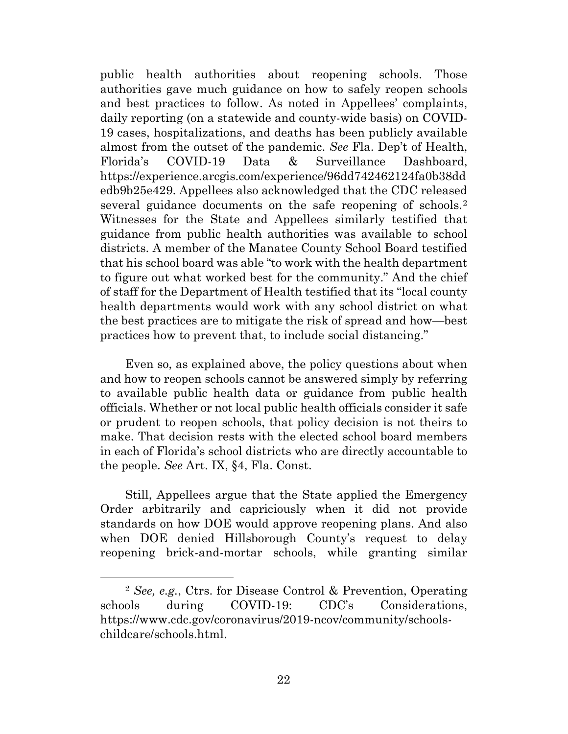public health authorities about reopening schools. Those authorities gave much guidance on how to safely reopen schools and best practices to follow. As noted in Appellees' complaints, daily reporting (on a statewide and county-wide basis) on COVID-19 cases, hospitalizations, and deaths has been publicly available almost from the outset of the pandemic. *See* Fla. Dep't of Health, Florida's COVID-19 Data & Surveillance Dashboard, https://experience.arcgis.com/experience/96dd742462124fa0b38dd edb9b25e429. Appellees also acknowledged that the CDC released several guidance documents on the safe reopening of schools.<sup>[2](#page-21-0)</sup> Witnesses for the State and Appellees similarly testified that guidance from public health authorities was available to school districts. A member of the Manatee County School Board testified that his school board was able "to work with the health department to figure out what worked best for the community." And the chief of staff for the Department of Health testified that its "local county health departments would work with any school district on what the best practices are to mitigate the risk of spread and how—best practices how to prevent that, to include social distancing."

Even so, as explained above, the policy questions about when and how to reopen schools cannot be answered simply by referring to available public health data or guidance from public health officials. Whether or not local public health officials consider it safe or prudent to reopen schools, that policy decision is not theirs to make. That decision rests with the elected school board members in each of Florida's school districts who are directly accountable to the people. *See* Art. IX, §4, Fla. Const.

Still, Appellees argue that the State applied the Emergency Order arbitrarily and capriciously when it did not provide standards on how DOE would approve reopening plans. And also when DOE denied Hillsborough County's request to delay reopening brick-and-mortar schools, while granting similar

<span id="page-21-0"></span><sup>2</sup> *See, e.g.*, Ctrs. for Disease Control & Prevention, Operating schools during COVID-19: CDC's Considerations, https://www.cdc.gov/coronavirus/2019-ncov/community/schoolschildcare/schools.html.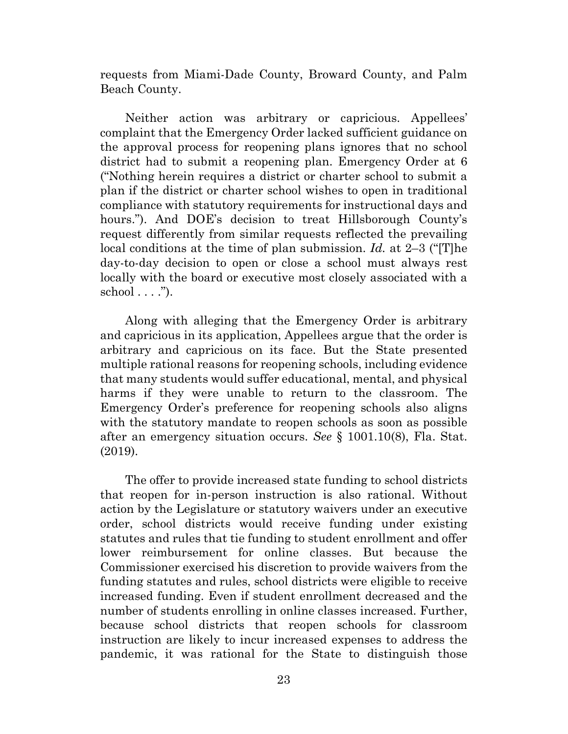requests from Miami-Dade County, Broward County, and Palm Beach County.

Neither action was arbitrary or capricious. Appellees' complaint that the Emergency Order lacked sufficient guidance on the approval process for reopening plans ignores that no school district had to submit a reopening plan. Emergency Order at 6 ("Nothing herein requires a district or charter school to submit a plan if the district or charter school wishes to open in traditional compliance with statutory requirements for instructional days and hours."). And DOE's decision to treat Hillsborough County's request differently from similar requests reflected the prevailing local conditions at the time of plan submission. *Id.* at 2–3 ("[T]he day-to-day decision to open or close a school must always rest locally with the board or executive most closely associated with a school  $\dots$ ").

Along with alleging that the Emergency Order is arbitrary and capricious in its application, Appellees argue that the order is arbitrary and capricious on its face. But the State presented multiple rational reasons for reopening schools, including evidence that many students would suffer educational, mental, and physical harms if they were unable to return to the classroom. The Emergency Order's preference for reopening schools also aligns with the statutory mandate to reopen schools as soon as possible after an emergency situation occurs. *See* § 1001.10(8), Fla. Stat. (2019).

The offer to provide increased state funding to school districts that reopen for in-person instruction is also rational. Without action by the Legislature or statutory waivers under an executive order, school districts would receive funding under existing statutes and rules that tie funding to student enrollment and offer lower reimbursement for online classes. But because the Commissioner exercised his discretion to provide waivers from the funding statutes and rules, school districts were eligible to receive increased funding. Even if student enrollment decreased and the number of students enrolling in online classes increased. Further, because school districts that reopen schools for classroom instruction are likely to incur increased expenses to address the pandemic, it was rational for the State to distinguish those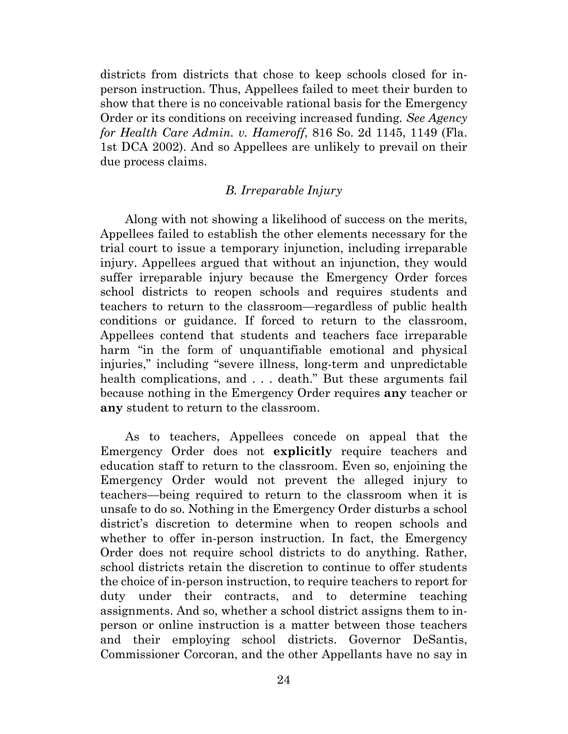districts from districts that chose to keep schools closed for inperson instruction. Thus, Appellees failed to meet their burden to show that there is no conceivable rational basis for the Emergency Order or its conditions on receiving increased funding*. See Agency for Health Care Admin. v. Hameroff*, 816 So. 2d 1145, 1149 (Fla. 1st DCA 2002). And so Appellees are unlikely to prevail on their due process claims.

# *B. Irreparable Injury*

Along with not showing a likelihood of success on the merits, Appellees failed to establish the other elements necessary for the trial court to issue a temporary injunction, including irreparable injury. Appellees argued that without an injunction, they would suffer irreparable injury because the Emergency Order forces school districts to reopen schools and requires students and teachers to return to the classroom—regardless of public health conditions or guidance. If forced to return to the classroom, Appellees contend that students and teachers face irreparable harm "in the form of unquantifiable emotional and physical injuries," including "severe illness, long-term and unpredictable health complications, and . . . death." But these arguments fail because nothing in the Emergency Order requires **any** teacher or **any** student to return to the classroom.

As to teachers, Appellees concede on appeal that the Emergency Order does not **explicitly** require teachers and education staff to return to the classroom. Even so, enjoining the Emergency Order would not prevent the alleged injury to teachers—being required to return to the classroom when it is unsafe to do so. Nothing in the Emergency Order disturbs a school district's discretion to determine when to reopen schools and whether to offer in-person instruction. In fact, the Emergency Order does not require school districts to do anything. Rather, school districts retain the discretion to continue to offer students the choice of in-person instruction, to require teachers to report for duty under their contracts, and to determine teaching assignments. And so, whether a school district assigns them to inperson or online instruction is a matter between those teachers and their employing school districts. Governor DeSantis, Commissioner Corcoran, and the other Appellants have no say in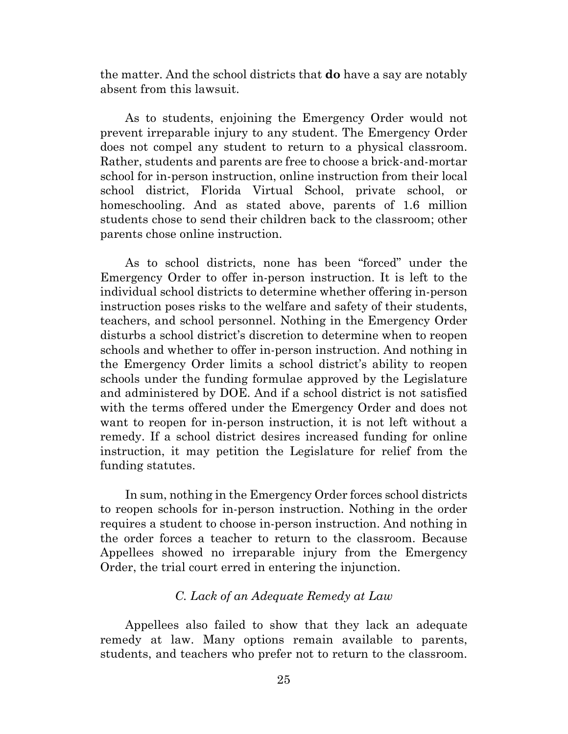the matter. And the school districts that **do** have a say are notably absent from this lawsuit.

As to students, enjoining the Emergency Order would not prevent irreparable injury to any student. The Emergency Order does not compel any student to return to a physical classroom. Rather, students and parents are free to choose a brick-and-mortar school for in-person instruction, online instruction from their local school district, Florida Virtual School, private school, or homeschooling. And as stated above, parents of 1.6 million students chose to send their children back to the classroom; other parents chose online instruction.

As to school districts, none has been "forced" under the Emergency Order to offer in-person instruction. It is left to the individual school districts to determine whether offering in-person instruction poses risks to the welfare and safety of their students, teachers, and school personnel. Nothing in the Emergency Order disturbs a school district's discretion to determine when to reopen schools and whether to offer in-person instruction. And nothing in the Emergency Order limits a school district's ability to reopen schools under the funding formulae approved by the Legislature and administered by DOE. And if a school district is not satisfied with the terms offered under the Emergency Order and does not want to reopen for in-person instruction, it is not left without a remedy. If a school district desires increased funding for online instruction, it may petition the Legislature for relief from the funding statutes.

In sum, nothing in the Emergency Order forces school districts to reopen schools for in-person instruction. Nothing in the order requires a student to choose in-person instruction. And nothing in the order forces a teacher to return to the classroom. Because Appellees showed no irreparable injury from the Emergency Order, the trial court erred in entering the injunction.

# *C. Lack of an Adequate Remedy at Law*

Appellees also failed to show that they lack an adequate remedy at law. Many options remain available to parents, students, and teachers who prefer not to return to the classroom.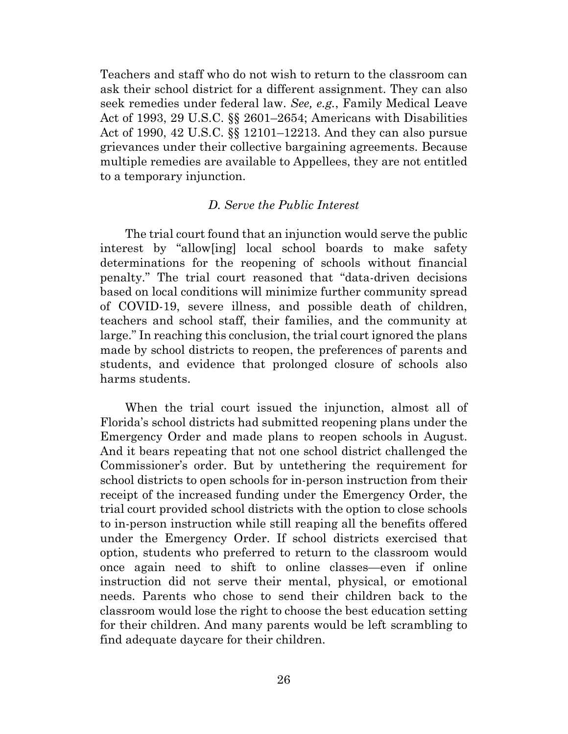Teachers and staff who do not wish to return to the classroom can ask their school district for a different assignment. They can also seek remedies under federal law. *See, e.g.*, Family Medical Leave Act of 1993, 29 U.S.C. §§ 2601–2654; Americans with Disabilities Act of 1990, 42 U.S.C. §§ 12101–12213. And they can also pursue grievances under their collective bargaining agreements. Because multiple remedies are available to Appellees, they are not entitled to a temporary injunction.

# *D. Serve the Public Interest*

The trial court found that an injunction would serve the public interest by "allow[ing] local school boards to make safety determinations for the reopening of schools without financial penalty." The trial court reasoned that "data-driven decisions based on local conditions will minimize further community spread of COVID-19, severe illness, and possible death of children, teachers and school staff, their families, and the community at large." In reaching this conclusion, the trial court ignored the plans made by school districts to reopen, the preferences of parents and students, and evidence that prolonged closure of schools also harms students.

When the trial court issued the injunction, almost all of Florida's school districts had submitted reopening plans under the Emergency Order and made plans to reopen schools in August. And it bears repeating that not one school district challenged the Commissioner's order. But by untethering the requirement for school districts to open schools for in-person instruction from their receipt of the increased funding under the Emergency Order, the trial court provided school districts with the option to close schools to in-person instruction while still reaping all the benefits offered under the Emergency Order. If school districts exercised that option, students who preferred to return to the classroom would once again need to shift to online classes—even if online instruction did not serve their mental, physical, or emotional needs. Parents who chose to send their children back to the classroom would lose the right to choose the best education setting for their children. And many parents would be left scrambling to find adequate daycare for their children.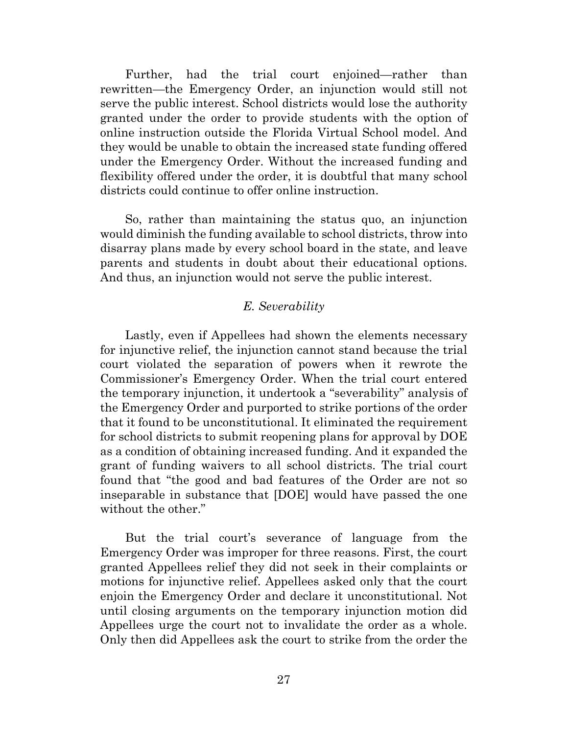Further, had the trial court enjoined—rather than rewritten—the Emergency Order, an injunction would still not serve the public interest. School districts would lose the authority granted under the order to provide students with the option of online instruction outside the Florida Virtual School model. And they would be unable to obtain the increased state funding offered under the Emergency Order. Without the increased funding and flexibility offered under the order, it is doubtful that many school districts could continue to offer online instruction.

So, rather than maintaining the status quo, an injunction would diminish the funding available to school districts, throw into disarray plans made by every school board in the state, and leave parents and students in doubt about their educational options. And thus, an injunction would not serve the public interest.

## *E. Severability*

Lastly, even if Appellees had shown the elements necessary for injunctive relief, the injunction cannot stand because the trial court violated the separation of powers when it rewrote the Commissioner's Emergency Order. When the trial court entered the temporary injunction, it undertook a "severability" analysis of the Emergency Order and purported to strike portions of the order that it found to be unconstitutional. It eliminated the requirement for school districts to submit reopening plans for approval by DOE as a condition of obtaining increased funding. And it expanded the grant of funding waivers to all school districts. The trial court found that "the good and bad features of the Order are not so inseparable in substance that [DOE] would have passed the one without the other."

But the trial court's severance of language from the Emergency Order was improper for three reasons. First, the court granted Appellees relief they did not seek in their complaints or motions for injunctive relief. Appellees asked only that the court enjoin the Emergency Order and declare it unconstitutional. Not until closing arguments on the temporary injunction motion did Appellees urge the court not to invalidate the order as a whole. Only then did Appellees ask the court to strike from the order the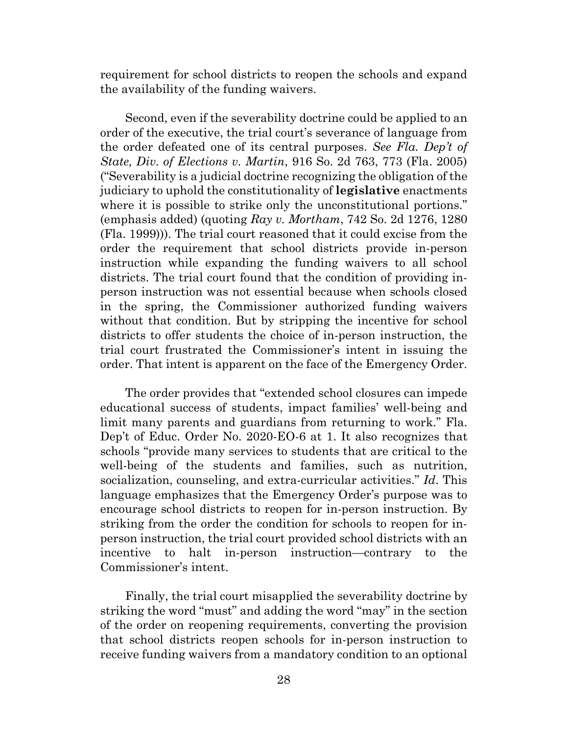requirement for school districts to reopen the schools and expand the availability of the funding waivers.

Second, even if the severability doctrine could be applied to an order of the executive, the trial court's severance of language from the order defeated one of its central purposes. *See Fla. Dep't of State, Div. of Elections v. Martin*, 916 So. 2d 763, 773 (Fla. 2005) ("Severability is a judicial doctrine recognizing the obligation of the judiciary to uphold the constitutionality of **legislative** enactments where it is possible to strike only the unconstitutional portions." (emphasis added) (quoting *Ray v. Mortham*, 742 So. 2d 1276, 1280 (Fla. 1999))). The trial court reasoned that it could excise from the order the requirement that school districts provide in-person instruction while expanding the funding waivers to all school districts. The trial court found that the condition of providing inperson instruction was not essential because when schools closed in the spring, the Commissioner authorized funding waivers without that condition. But by stripping the incentive for school districts to offer students the choice of in-person instruction, the trial court frustrated the Commissioner's intent in issuing the order. That intent is apparent on the face of the Emergency Order.

The order provides that "extended school closures can impede educational success of students, impact families' well-being and limit many parents and guardians from returning to work." Fla. Dep't of Educ. Order No. 2020-EO-6 at 1. It also recognizes that schools "provide many services to students that are critical to the well-being of the students and families, such as nutrition, socialization, counseling, and extra-curricular activities." *Id*. This language emphasizes that the Emergency Order's purpose was to encourage school districts to reopen for in-person instruction. By striking from the order the condition for schools to reopen for inperson instruction, the trial court provided school districts with an incentive to halt in-person instruction—contrary to the Commissioner's intent.

Finally, the trial court misapplied the severability doctrine by striking the word "must" and adding the word "may" in the section of the order on reopening requirements, converting the provision that school districts reopen schools for in-person instruction to receive funding waivers from a mandatory condition to an optional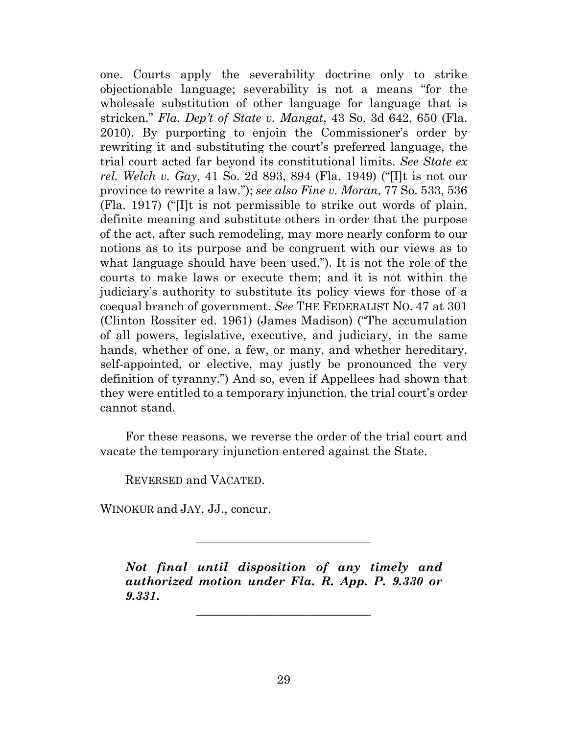one. Courts apply the severability doctrine only to strike objectionable language; severability is not a means "for the wholesale substitution of other language for language that is stricken." *Fla. Dep't of State v. Mangat*, 43 So. 3d 642, 650 (Fla. 2010). By purporting to enjoin the Commissioner's order by rewriting it and substituting the court's preferred language, the trial court acted far beyond its constitutional limits. *See State ex rel. Welch v. Gay*, 41 So. 2d 893, 894 (Fla. 1949) ("[I]t is not our province to rewrite a law."); *see also Fine v. Moran*, 77 So. 533, 536 (Fla. 1917) ("[I]t is not permissible to strike out words of plain, definite meaning and substitute others in order that the purpose of the act, after such remodeling, may more nearly conform to our notions as to its purpose and be congruent with our views as to what language should have been used."). It is not the role of the courts to make laws or execute them; and it is not within the judiciary's authority to substitute its policy views for those of a coequal branch of government. *See* THE FEDERALIST NO. 47 at 301 (Clinton Rossiter ed. 1961) (James Madison) ("The accumulation of all powers, legislative, executive, and judiciary, in the same hands, whether of one, a few, or many, and whether hereditary, self-appointed, or elective, may justly be pronounced the very definition of tyranny.") And so, even if Appellees had shown that they were entitled to a temporary injunction, the trial court's order cannot stand.

For these reasons, we reverse the order of the trial court and vacate the temporary injunction entered against the State.

REVERSED and VACATED.

WINOKUR and JAY, JJ., concur.

*Not final until disposition of any timely and authorized motion under Fla. R. App. P. 9.330 or 9.331***.**

\_\_\_\_\_\_\_\_\_\_\_\_\_\_\_\_\_\_\_\_\_\_\_\_\_\_\_\_\_

\_\_\_\_\_\_\_\_\_\_\_\_\_\_\_\_\_\_\_\_\_\_\_\_\_\_\_\_\_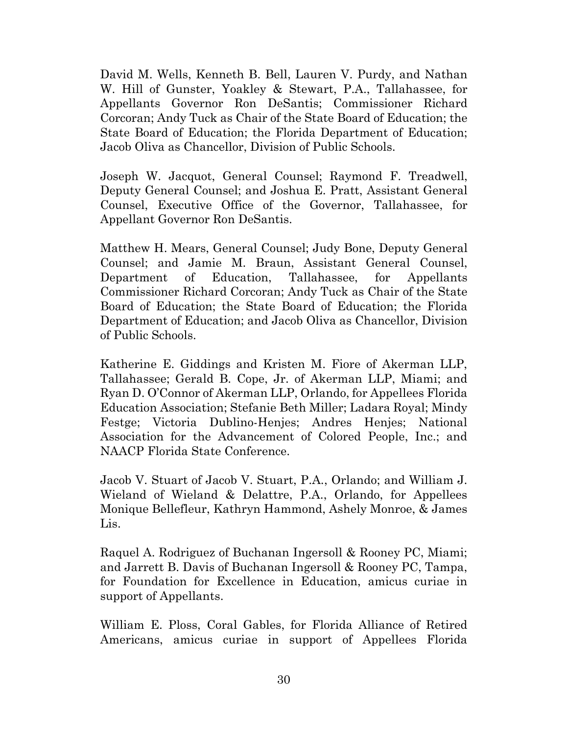David M. Wells, Kenneth B. Bell, Lauren V. Purdy, and Nathan W. Hill of Gunster, Yoakley & Stewart, P.A., Tallahassee, for Appellants Governor Ron DeSantis; Commissioner Richard Corcoran; Andy Tuck as Chair of the State Board of Education; the State Board of Education; the Florida Department of Education; Jacob Oliva as Chancellor, Division of Public Schools.

Joseph W. Jacquot, General Counsel; Raymond F. Treadwell, Deputy General Counsel; and Joshua E. Pratt, Assistant General Counsel, Executive Office of the Governor, Tallahassee, for Appellant Governor Ron DeSantis.

Matthew H. Mears, General Counsel; Judy Bone, Deputy General Counsel; and Jamie M. Braun, Assistant General Counsel, Department of Education, Tallahassee, for Appellants Commissioner Richard Corcoran; Andy Tuck as Chair of the State Board of Education; the State Board of Education; the Florida Department of Education; and Jacob Oliva as Chancellor, Division of Public Schools.

Katherine E. Giddings and Kristen M. Fiore of Akerman LLP, Tallahassee; Gerald B. Cope, Jr. of Akerman LLP, Miami; and Ryan D. O'Connor of Akerman LLP, Orlando, for Appellees Florida Education Association; Stefanie Beth Miller; Ladara Royal; Mindy Festge; Victoria Dublino-Henjes; Andres Henjes; National Association for the Advancement of Colored People, Inc.; and NAACP Florida State Conference.

Jacob V. Stuart of Jacob V. Stuart, P.A., Orlando; and William J. Wieland of Wieland & Delattre, P.A., Orlando, for Appellees Monique Bellefleur, Kathryn Hammond, Ashely Monroe, & James Lis.

Raquel A. Rodriguez of Buchanan Ingersoll & Rooney PC, Miami; and Jarrett B. Davis of Buchanan Ingersoll & Rooney PC, Tampa, for Foundation for Excellence in Education, amicus curiae in support of Appellants.

William E. Ploss, Coral Gables, for Florida Alliance of Retired Americans, amicus curiae in support of Appellees Florida